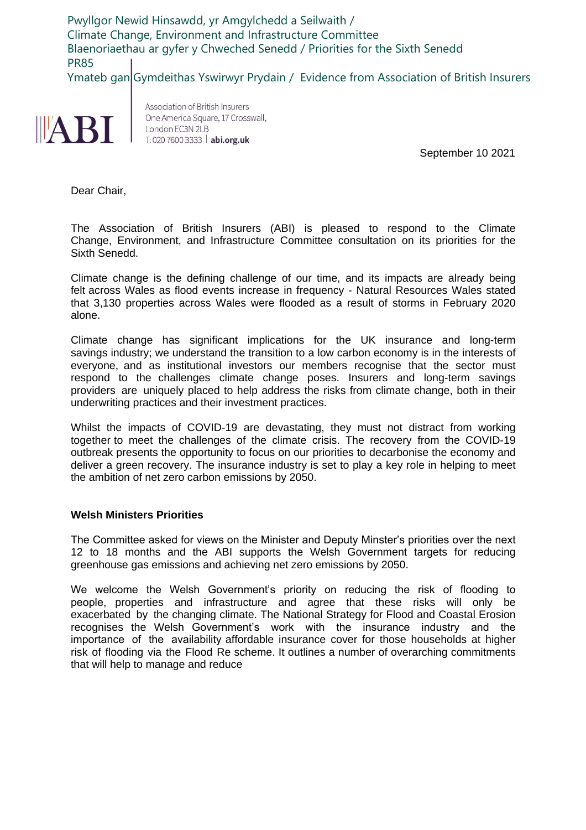Pwyllgor Newid Hinsawdd, yr Amgylchedd a Seilwaith / Climate Change, Environment and Infrastructure Committee Blaenoriaethau ar gyfer y Chweched Senedd / Priorities for the Sixth Senedd PR85 Ymateb gan Gymdeithas Yswirwyr Prydain / Evidence from Association of British Insurers



Association of British Insurers One America Square, 17 Crosswall, London EC3N 2LB T: 020 7600 3333 | abi.org.uk

September 10 2021

Dear Chair,

The Association of British Insurers (ABI) is pleased to respond to the Climate Change, Environment, and Infrastructure Committee consultation on its priorities for the Sixth Senedd.

Climate change is the defining challenge of our time, and its impacts are already being felt across Wales as flood events increase in frequency - Natural Resources Wales stated that 3,130 properties across Wales were flooded as a result of storms in February 2020 alone.

Climate change has significant implications for the UK insurance and long-term savings industry; we understand the transition to a low carbon economy is in the interests of everyone, and as institutional investors our members recognise that the sector must respond to the challenges climate change poses. Insurers and long-term savings providers are uniquely placed to help address the risks from climate change, both in their underwriting practices and their investment practices.

Whilst the impacts of COVID-19 are devastating, they must not distract from working together to meet the challenges of the climate crisis. The recovery from the COVID-19 outbreak presents the opportunity to focus on our priorities to decarbonise the economy and deliver a green recovery. The insurance industry is set to play a key role in helping to meet the ambition of net zero carbon emissions by 2050.

## **Welsh Ministers Priorities**

The Committee asked for views on the Minister and Deputy Minster's priorities over the next 12 to 18 months and the ABI supports the Welsh Government targets for reducing greenhouse gas emissions and achieving net zero emissions by 2050.

We welcome the Welsh Government's priority on reducing the risk of flooding to people, properties and infrastructure and agree that these risks will only be exacerbated by the changing climate. The National Strategy for Flood and Coastal Erosion recognises the Welsh Government's work with the insurance industry and the importance of the availability affordable insurance cover for those households at higher risk of flooding via the Flood Re scheme. It outlines a number of overarching commitments that will help to manage and reduce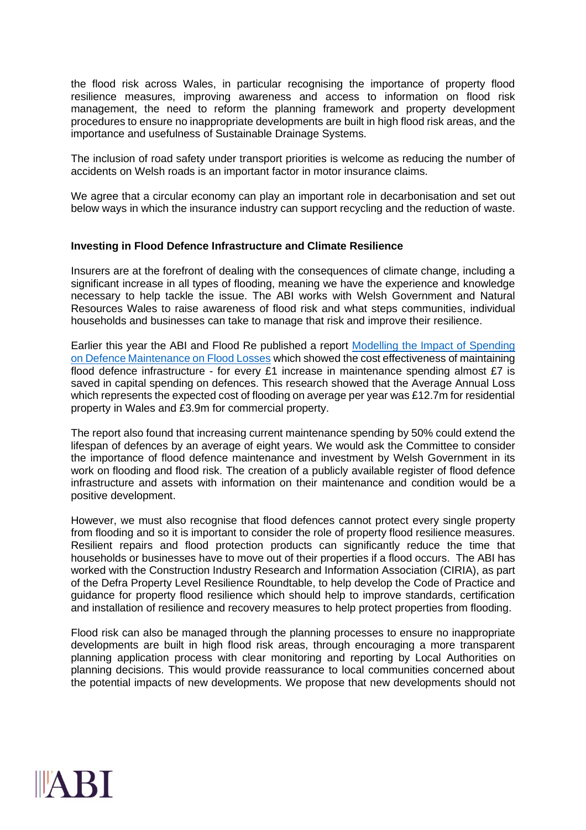the flood risk across Wales, in particular recognising the importance of property flood resilience measures, improving awareness and access to information on flood risk management, the need to reform the planning framework and property development procedures to ensure no inappropriate developments are built in high flood risk areas, and the importance and usefulness of Sustainable Drainage Systems.

The inclusion of road safety under transport priorities is welcome as reducing the number of accidents on Welsh roads is an important factor in motor insurance claims.

We agree that a circular economy can play an important role in decarbonisation and set out below ways in which the insurance industry can support recycling and the reduction of waste.

## **Investing in Flood Defence Infrastructure and Climate Resilience**

Insurers are at the forefront of dealing with the consequences of climate change, including a significant increase in all types of flooding, meaning we have the experience and knowledge necessary to help tackle the issue. The ABI works with Welsh Government and Natural Resources Wales to raise awareness of flood risk and what steps communities, individual households and businesses can take to manage that risk and improve their resilience.

Earlier this year the ABI and Flood Re published a report [Modelling the Impact of Spending](https://www.abi.org.uk/globalassets/files/publications/public/flooding/modelling-the-impact-of-spending-on-defence-maintenance.pdf)  [on Defence Maintenance on Flood Losses](https://www.abi.org.uk/globalassets/files/publications/public/flooding/modelling-the-impact-of-spending-on-defence-maintenance.pdf) which showed the cost effectiveness of maintaining flood defence infrastructure - for every £1 increase in maintenance spending almost £7 is saved in capital spending on defences. This research showed that the Average Annual Loss which represents the expected cost of flooding on average per year was £12.7m for residential property in Wales and £3.9m for commercial property.

The report also found that increasing current maintenance spending by 50% could extend the lifespan of defences by an average of eight years. We would ask the Committee to consider the importance of flood defence maintenance and investment by Welsh Government in its work on flooding and flood risk. The creation of a publicly available register of flood defence infrastructure and assets with information on their maintenance and condition would be a positive development.

However, we must also recognise that flood defences cannot protect every single property from flooding and so it is important to consider the role of property flood resilience measures. Resilient repairs and flood protection products can significantly reduce the time that households or businesses have to move out of their properties if a flood occurs. The ABI has worked with the Construction Industry Research and Information Association (CIRIA), as part of the Defra Property Level Resilience Roundtable, to help develop the Code of Practice and guidance for property flood resilience which should help to improve standards, certification and installation of resilience and recovery measures to help protect properties from flooding.

Flood risk can also be managed through the planning processes to ensure no inappropriate developments are built in high flood risk areas, through encouraging a more transparent planning application process with clear monitoring and reporting by Local Authorities on planning decisions. This would provide reassurance to local communities concerned about the potential impacts of new developments. We propose that new developments should not

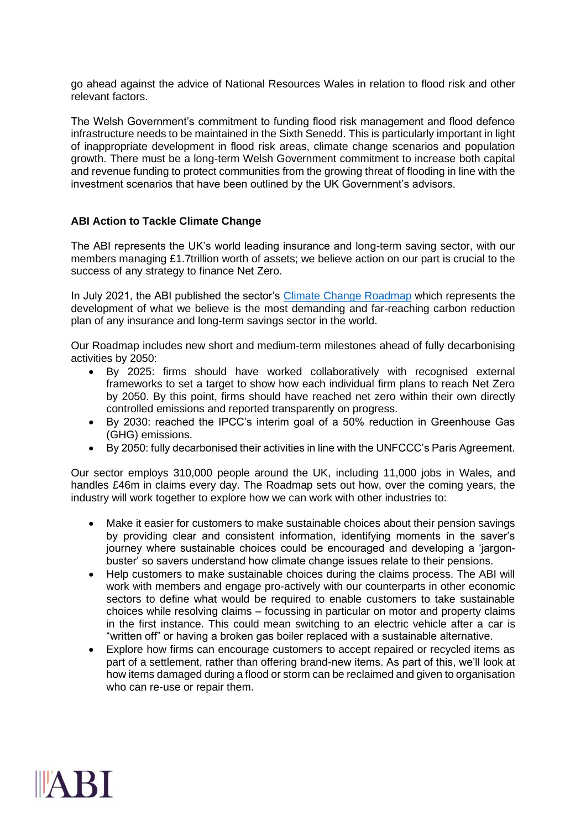go ahead against the advice of National Resources Wales in relation to flood risk and other relevant factors.

The Welsh Government's commitment to funding flood risk management and flood defence infrastructure needs to be maintained in the Sixth Senedd. This is particularly important in light of inappropriate development in flood risk areas, climate change scenarios and population growth. There must be a long-term Welsh Government commitment to increase both capital and revenue funding to protect communities from the growing threat of flooding in line with the investment scenarios that have been outlined by the UK Government's advisors.

## **ABI Action to Tackle Climate Change**

The ABI represents the UK's world leading insurance and long-term saving sector, with our members managing £1.7trillion worth of assets; we believe action on our part is crucial to the success of any strategy to finance Net Zero.

In July 2021, the ABI published the sector's [Climate Change Roadmap](https://www.abi.org.uk/about-the-abi/sustainability/climate-change-roadmap/) which represents the development of what we believe is the most demanding and far-reaching carbon reduction plan of any insurance and long-term savings sector in the world.

Our Roadmap includes new short and medium-term milestones ahead of fully decarbonising activities by 2050:

- By 2025: firms should have worked collaboratively with recognised external frameworks to set a target to show how each individual firm plans to reach Net Zero by 2050. By this point, firms should have reached net zero within their own directly controlled emissions and reported transparently on progress.
- By 2030: reached the IPCC's interim goal of a 50% reduction in Greenhouse Gas (GHG) emissions.
- By 2050: fully decarbonised their activities in line with the UNFCCC's Paris Agreement.

Our sector employs 310,000 people around the UK, including 11,000 jobs in Wales, and handles £46m in claims every day. The Roadmap sets out how, over the coming years, the industry will work together to explore how we can work with other industries to:

- Make it easier for customers to make sustainable choices about their pension savings by providing clear and consistent information, identifying moments in the saver's journey where sustainable choices could be encouraged and developing a 'jargonbuster' so savers understand how climate change issues relate to their pensions.
- Help customers to make sustainable choices during the claims process. The ABI will work with members and engage pro-actively with our counterparts in other economic sectors to define what would be required to enable customers to take sustainable choices while resolving claims – focussing in particular on motor and property claims in the first instance. This could mean switching to an electric vehicle after a car is "written off" or having a broken gas boiler replaced with a sustainable alternative.
- Explore how firms can encourage customers to accept repaired or recycled items as part of a settlement, rather than offering brand-new items. As part of this, we'll look at how items damaged during a flood or storm can be reclaimed and given to organisation who can re-use or repair them.